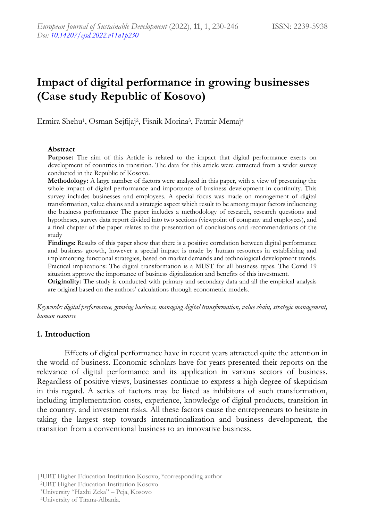# **Impact of digital performance in growing businesses (Case study Republic of Kosovo)**

Ermira Shehu<sup>1</sup>, Osman Sejfijaj<sup>2</sup>, Fisnik Morina<sup>3</sup>, Fatmir Memaj<sup>4</sup>

#### **Abstract**

**Purpose:** The aim of this Article is related to the impact that digital performance exerts on development of countries in transition. The data for this article were extracted from a wider survey conducted in the Republic of Kosovo.

**Methodology:** A large number of factors were analyzed in this paper, with a view of presenting the whole impact of digital performance and importance of business development in continuity. This survey includes businesses and employees. A special focus was made on management of digital transformation, value chains and a strategic aspect which result to be among major factors influencing the business performance The paper includes a methodology of research, research questions and hypotheses, survey data report divided into two sections (viewpoint of company and employees), and a final chapter of the paper relates to the presentation of conclusions and recommendations of the study

**Findings:** Results of this paper show that there is a positive correlation between digital performance and business growth, however a special impact is made by human resources in establishing and implementing functional strategies, based on market demands and technological development trends. Practical implications: The digital transformation is a MUST for all business types. The Covid 19 situation approve the importance of business digitalization and benefits of this investment.

**Originality:** The study is conducted with primary and secondary data and all the empirical analysis are original based on the authors' calculations through econometric models.

*Keywords: digital performance, growing business, managing digital transformation, value chain, strategic management, human resource*

#### **1. Introduction**

Effects of digital performance have in recent years attracted quite the attention in the world of business. Economic scholars have for years presented their reports on the relevance of digital performance and its application in various sectors of business. Regardless of positive views, businesses continue to express a high degree of skepticism in this regard. A series of factors may be listed as inhibitors of such transformation, including implementation costs, experience, knowledge of digital products, transition in the country, and investment risks. All these factors cause the entrepreneurs to hesitate in taking the largest step towards internationalization and business development, the transition from a conventional business to an innovative business.

<sup>|</sup>1UBT Higher Education Institution Kosovo, \*corresponding author

<sup>2</sup>UBT Higher Education Institution Kosovo

<sup>3</sup>University "Haxhi Zeka" – Peja, Kosovo

<sup>4</sup>University of Tirana-Albania.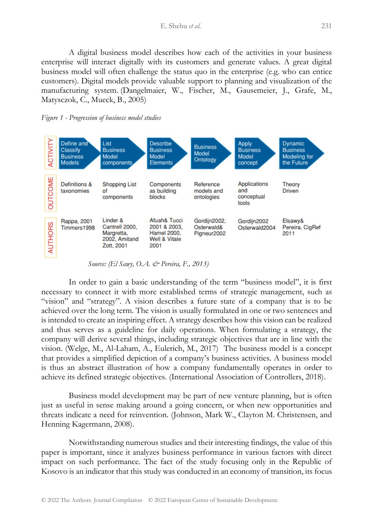A digital business model describes how each of the activities in your business enterprise will interact digitally with its customers and generate values. A great digital business model will often challenge the status quo in the enterprise (e.g. who can entice customers). Digital models provide valuable support to planning and visualization of the manufacturing system. (Dangelmaier, W., Fischer, M., Gausemeier, J., Grafe, M., Matysczok, C., Mueck, B., 2005)





 *Source: (El Sawy, O.A. & Pereira, F., 2013)*

In order to gain a basic understanding of the term "business model", it is first necessary to connect it with more established terms of strategic management, such as "vision" and "strategy". A vision describes a future state of a company that is to be achieved over the long term. The vision is usually formulated in one or two sentences and is intended to create an inspiring effect. A strategy describes how this vision can be realized and thus serves as a guideline for daily operations. When formulating a strategy, the company will derive several things, including strategic objectives that are in line with the vision. (Welge, M., Al-Laham, A., Eulerich, M., 2017) The business model is a concept that provides a simplified depiction of a company's business activities. A business model is thus an abstract illustration of how a company fundamentally operates in order to achieve its defined strategic objectives. (International Association of Controllers, 2018).

Business model development may be part of new venture planning, but is often just as useful in sense making around a going concern, or when new opportunities and threats indicate a need for reinvention. (Johnson, Mark W., Clayton M. Christensen, and Henning Kagermann, 2008).

Notwithstanding numerous studies and their interesting findings, the value of this paper is important, since it analyzes business performance in various factors with direct impact on such performance. The fact of the study focusing only in the Republic of Kosovo is an indicator that this study was conducted in an economy of transition, its focus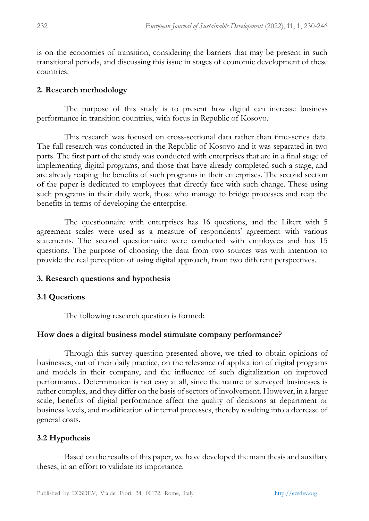is on the economies of transition, considering the barriers that may be present in such transitional periods, and discussing this issue in stages of economic development of these countries.

### **2. Research methodology**

The purpose of this study is to present how digital can increase business performance in transition countries, with focus in Republic of Kosovo.

This research was focused on cross-sectional data rather than time-series data. The full research was conducted in the Republic of Kosovo and it was separated in two parts. The first part of the study was conducted with enterprises that are in a final stage of implementing digital programs, and those that have already completed such a stage, and are already reaping the benefits of such programs in their enterprises. The second section of the paper is dedicated to employees that directly face with such change. These using such programs in their daily work, those who manage to bridge processes and reap the benefits in terms of developing the enterprise.

The questionnaire with enterprises has 16 questions, and the Likert with 5 agreement scales were used as a measure of respondents' agreement with various statements. The second questionnaire were conducted with employees and has 15 questions. The purpose of choosing the data from two sources was with intention to provide the real perception of using digital approach, from two different perspectives.

# **3. Research questions and hypothesis**

# **3.1 Questions**

The following research question is formed:

# **How does a digital business model stimulate company performance?**

Through this survey question presented above, we tried to obtain opinions of businesses, out of their daily practice, on the relevance of application of digital programs and models in their company, and the influence of such digitalization on improved performance. Determination is not easy at all, since the nature of surveyed businesses is rather complex, and they differ on the basis of sectors of involvement. However, in a larger scale, benefits of digital performance affect the quality of decisions at department or business levels, and modification of internal processes, thereby resulting into a decrease of general costs.

# **3.2 Hypothesis**

Based on the results of this paper, we have developed the main thesis and auxiliary theses, in an effort to validate its importance.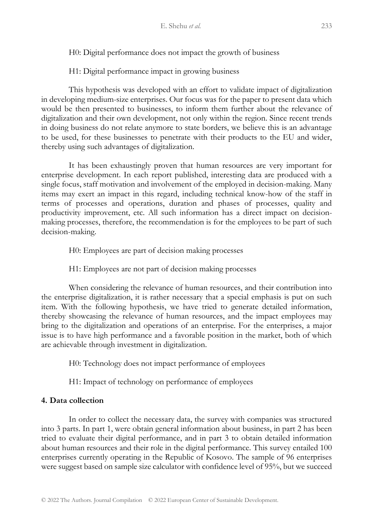H0: Digital performance does not impact the growth of business

H1: Digital performance impact in growing business

This hypothesis was developed with an effort to validate impact of digitalization in developing medium-size enterprises. Our focus was for the paper to present data which would be then presented to businesses, to inform them further about the relevance of digitalization and their own development, not only within the region. Since recent trends in doing business do not relate anymore to state borders, we believe this is an advantage to be used, for these businesses to penetrate with their products to the EU and wider, thereby using such advantages of digitalization.

It has been exhaustingly proven that human resources are very important for enterprise development. In each report published, interesting data are produced with a single focus, staff motivation and involvement of the employed in decision-making. Many items may exert an impact in this regard, including technical know-how of the staff in terms of processes and operations, duration and phases of processes, quality and productivity improvement, etc. All such information has a direct impact on decisionmaking processes, therefore, the recommendation is for the employees to be part of such decision-making.

H0: Employees are part of decision making processes

H1: Employees are not part of decision making processes

When considering the relevance of human resources, and their contribution into the enterprise digitalization, it is rather necessary that a special emphasis is put on such item. With the following hypothesis, we have tried to generate detailed information, thereby showcasing the relevance of human resources, and the impact employees may bring to the digitalization and operations of an enterprise. For the enterprises, a major issue is to have high performance and a favorable position in the market, both of which are achievable through investment in digitalization.

H0: Technology does not impact performance of employees

H1: Impact of technology on performance of employees

# **4. Data collection**

In order to collect the necessary data, the survey with companies was structured into 3 parts. In part 1, were obtain general information about business, in part 2 has been tried to evaluate their digital performance, and in part 3 to obtain detailed information about human resources and their role in the digital performance. This survey entailed 100 enterprises currently operating in the Republic of Kosovo. The sample of 96 enterprises were suggest based on sample size calculator with confidence level of 95%, but we succeed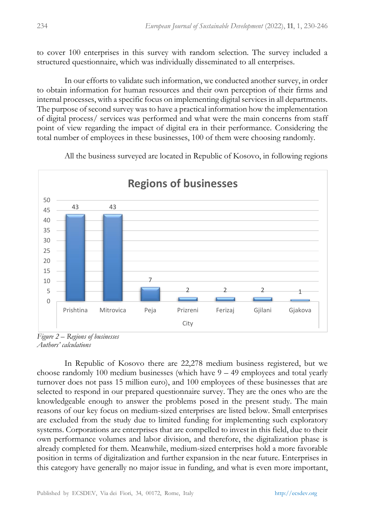to cover 100 enterprises in this survey with random selection. The survey included a structured questionnaire, which was individually disseminated to all enterprises.

In our efforts to validate such information, we conducted another survey, in order to obtain information for human resources and their own perception of their firms and internal processes, with a specific focus on implementing digital services in all departments. The purpose of second survey was to have a practical information how the implementation of digital process/ services was performed and what were the main concerns from staff point of view regarding the impact of digital era in their performance. Considering the total number of employees in these businesses, 100 of them were choosing randomly.

All the business surveyed are located in Republic of Kosovo, in following regions



*Figure 2 – Regions of businesses Authors' calculations*

In Republic of Kosovo there are 22,278 medium business registered, but we choose randomly 100 medium businesses (which have 9 – 49 employees and total yearly turnover does not pass 15 million euro), and 100 employees of these businesses that are selected to respond in our prepared questionnaire survey. They are the ones who are the knowledgeable enough to answer the problems posed in the present study. The main reasons of our key focus on medium-sized enterprises are listed below. Small enterprises are excluded from the study due to limited funding for implementing such exploratory systems. Corporations are enterprises that are compelled to invest in this field, due to their own performance volumes and labor division, and therefore, the digitalization phase is already completed for them. Meanwhile, medium-sized enterprises hold a more favorable position in terms of digitalization and further expansion in the near future. Enterprises in this category have generally no major issue in funding, and what is even more important,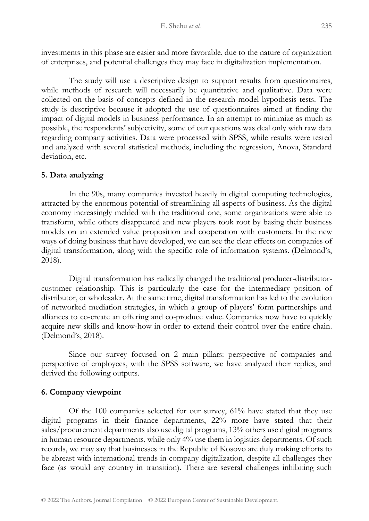investments in this phase are easier and more favorable, due to the nature of organization of enterprises, and potential challenges they may face in digitalization implementation.

The study will use a descriptive design to support results from questionnaires, while methods of research will necessarily be quantitative and qualitative. Data were collected on the basis of concepts defined in the research model hypothesis tests. The study is descriptive because it adopted the use of questionnaires aimed at finding the impact of digital models in business performance. In an attempt to minimize as much as possible, the respondents' subjectivity, some of our questions was deal only with raw data regarding company activities. Data were processed with SPSS, while results were tested and analyzed with several statistical methods, including the regression, Anova, Standard deviation, etc.

# **5. Data analyzing**

In the 90s, many companies invested heavily in digital computing technologies, attracted by the enormous potential of streamlining all aspects of business. As the digital economy increasingly melded with the traditional one, some organizations were able to transform, while others disappeared and new players took root by basing their business models on an extended value proposition and cooperation with customers. In the new ways of doing business that have developed, we can see the clear effects on companies of digital transformation, along with the specific role of information systems. (Delmond's, 2018).

Digital transformation has radically changed the traditional producer-distributorcustomer relationship. This is particularly the case for the intermediary position of distributor, or wholesaler. At the same time, digital transformation has led to the evolution of networked mediation strategies, in which a group of players' form partnerships and alliances to co-create an offering and co-produce value. Companies now have to quickly acquire new skills and know-how in order to extend their control over the entire chain. (Delmond's, 2018).

Since our survey focused on 2 main pillars: perspective of companies and perspective of employees, with the SPSS software, we have analyzed their replies, and derived the following outputs.

# **6. Company viewpoint**

Of the 100 companies selected for our survey, 61% have stated that they use digital programs in their finance departments, 22% more have stated that their sales/procurement departments also use digital programs, 13% others use digital programs in human resource departments, while only 4% use them in logistics departments. Of such records, we may say that businesses in the Republic of Kosovo are duly making efforts to be abreast with international trends in company digitalization, despite all challenges they face (as would any country in transition). There are several challenges inhibiting such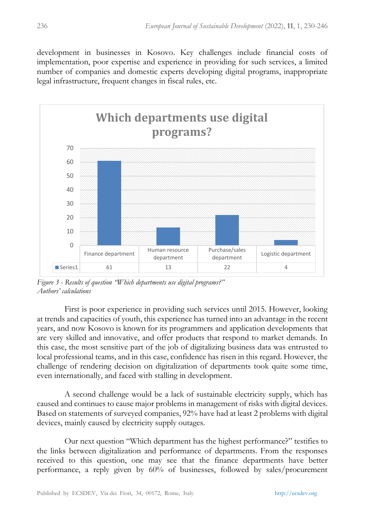development in businesses in Kosovo. Key challenges include financial costs of implementation, poor expertise and experience in providing for such services, a limited number of companies and domestic experts developing digital programs, inappropriate legal infrastructure, frequent changes in fiscal rules, etc.



*Figure 3 - Results of question "Which departments use digital programs?" Authors' calculations*

First is poor experience in providing such services until 2015. However, looking at trends and capacities of youth, this experience has turned into an advantage in the recent years, and now Kosovo is known for its programmers and application developments that are very skilled and innovative, and offer products that respond to market demands. In this case, the most sensitive part of the job of digitalizing business data was entrusted to local professional teams, and in this case, confidence has risen in this regard. However, the challenge of rendering decision on digitalization of departments took quite some time, even internationally, and faced with stalling in development.

A second challenge would be a lack of sustainable electricity supply, which has caused and continues to cause major problems in management of risks with digital devices. Based on statements of surveyed companies, 92% have had at least 2 problems with digital devices, mainly caused by electricity supply outages.

Our next question "Which department has the highest performance?" testifies to the links between digitalization and performance of departments. From the responses received to this question, one may see that the finance departments have better performance, a reply given by 60% of businesses, followed by sales/procurement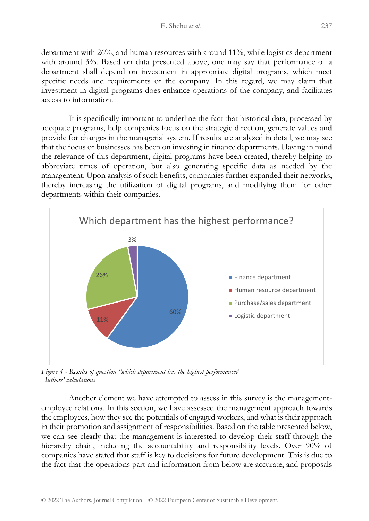department with 26%, and human resources with around 11%, while logistics department with around 3%. Based on data presented above, one may say that performance of a department shall depend on investment in appropriate digital programs, which meet specific needs and requirements of the company. In this regard, we may claim that investment in digital programs does enhance operations of the company, and facilitates access to information.

It is specifically important to underline the fact that historical data, processed by adequate programs, help companies focus on the strategic direction, generate values and provide for changes in the managerial system. If results are analyzed in detail, we may see that the focus of businesses has been on investing in finance departments. Having in mind the relevance of this department, digital programs have been created, thereby helping to abbreviate times of operation, but also generating specific data as needed by the management. Upon analysis of such benefits, companies further expanded their networks, thereby increasing the utilization of digital programs, and modifying them for other departments within their companies.



*Figure 4 - Results of question "which department has the highest performance? Authors' calculations*

Another element we have attempted to assess in this survey is the managementemployee relations. In this section, we have assessed the management approach towards the employees, how they see the potentials of engaged workers, and what is their approach in their promotion and assignment of responsibilities. Based on the table presented below, we can see clearly that the management is interested to develop their staff through the hierarchy chain, including the accountability and responsibility levels. Over 90% of companies have stated that staff is key to decisions for future development. This is due to the fact that the operations part and information from below are accurate, and proposals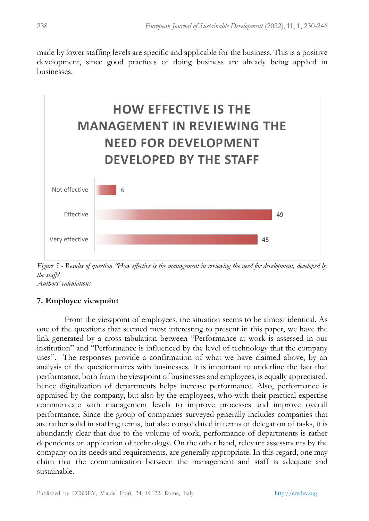made by lower staffing levels are specific and applicable for the business. This is a positive development, since good practices of doing business are already being applied in businesses.



*Figure 5 - Results of question "How effective is the management in reviewing the need for development, developed by the staff? Authors' calculations*

# **7. Employee viewpoint**

From the viewpoint of employees, the situation seems to be almost identical. As one of the questions that seemed most interesting to present in this paper, we have the link generated by a cross tabulation between "Performance at work is assessed in our institution" and "Performance is influenced by the level of technology that the company uses". The responses provide a confirmation of what we have claimed above, by an analysis of the questionnaires with businesses. It is important to underline the fact that performance, both from the viewpoint of businesses and employees, is equally appreciated, hence digitalization of departments helps increase performance. Also, performance is appraised by the company, but also by the employees, who with their practical expertise communicate with management levels to improve processes and improve overall performance. Since the group of companies surveyed generally includes companies that are rather solid in staffing terms, but also consolidated in terms of delegation of tasks, it is abundantly clear that due to the volume of work, performance of departments is rather dependents on application of technology. On the other hand, relevant assessments by the company on its needs and requirements, are generally appropriate. In this regard, one may claim that the communication between the management and staff is adequate and sustainable.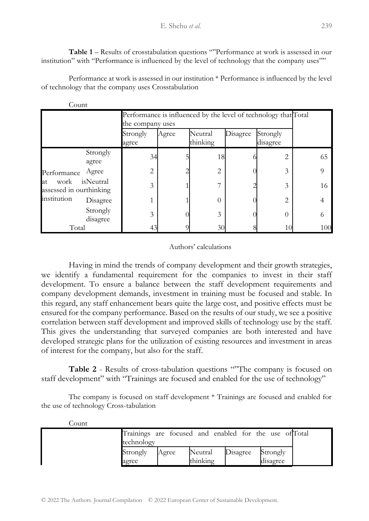**Table 1** – Results of crosstabulation questions ""Performance at work is assessed in our institution" with "Performance is influenced by the level of technology that the company uses""

Performance at work is assessed in our institution \* Performance is influenced by the level of technology that the company uses Crosstabulation

| Count                                                |                      |                   |                                                                                     |                     |          |                      |     |  |  |  |
|------------------------------------------------------|----------------------|-------------------|-------------------------------------------------------------------------------------|---------------------|----------|----------------------|-----|--|--|--|
|                                                      |                      |                   | Performance is influenced by the level of technology that Total<br>the company uses |                     |          |                      |     |  |  |  |
|                                                      |                      | Strongly<br>agree | Agree                                                                               | Neutral<br>thinking | Disagree | Strongly<br>disagree |     |  |  |  |
|                                                      | Strongly<br>agree    | 34                |                                                                                     | 18                  |          | $\overline{c}$       | 65  |  |  |  |
| Performance                                          | Agree                | $\overline{2}$    |                                                                                     | 2                   |          | 3                    | 9   |  |  |  |
| work<br>at<br>assessed in ourthinking<br>institution | isNeutral            | 3                 |                                                                                     |                     |          | 3                    | 16  |  |  |  |
|                                                      | Disagree             |                   |                                                                                     | 0                   |          | 2                    | 4   |  |  |  |
|                                                      | Strongly<br>disagree | 3                 |                                                                                     | 3                   |          | $\Omega$             | 6   |  |  |  |
| Total                                                |                      |                   |                                                                                     | 30                  |          | 10                   | 100 |  |  |  |

#### Authors' calculations

Having in mind the trends of company development and their growth strategies, we identify a fundamental requirement for the companies to invest in their staff development. To ensure a balance between the staff development requirements and company development demands, investment in training must be focused and stable. In this regard, any staff enhancement bears quite the large cost, and positive effects must be ensured for the company performance. Based on the results of our study, we see a positive correlation between staff development and improved skills of technology use by the staff. This gives the understanding that surveyed companies are both interested and have developed strategic plans for the utilization of existing resources and investment in areas of interest for the company, but also for the staff.

**Table 2** - Results of cross-tabulation questions ""The company is focused on staff development" with "Trainings are focused and enabled for the use of technology"

The company is focused on staff development \* Trainings are focused and enabled for the use of technology Cross-tabulation

| Count |                                                        |       |          |          |          |  |
|-------|--------------------------------------------------------|-------|----------|----------|----------|--|
|       | Trainings are focused and enabled for the use of Total |       |          |          |          |  |
|       | technology                                             |       |          |          |          |  |
|       | Strongly                                               | Agree | Neutral  | Disagree | Strongly |  |
|       | agree                                                  |       | thinking |          | disagree |  |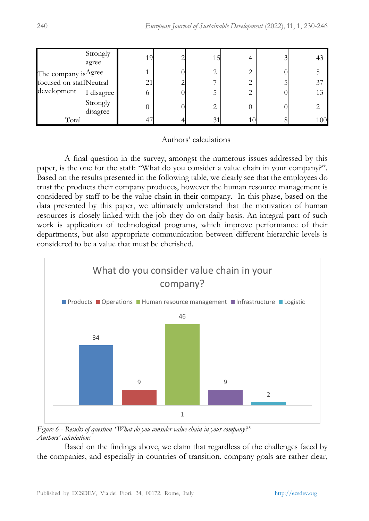| Strongly<br>agree       |                       | 19 | 15 |  | 43  |
|-------------------------|-----------------------|----|----|--|-----|
| The company is Agree    |                       |    | ∠  |  |     |
| focused on staffNeutral |                       | 21 |    |  | 37  |
| development             | I disagree<br>$\circ$ |    |    |  | 13  |
| Strongly<br>disagree    |                       |    | 2  |  |     |
| Total                   |                       |    | 31 |  | 100 |

# Authors' calculations

A final question in the survey, amongst the numerous issues addressed by this paper, is the one for the staff: "What do you consider a value chain in your company?". Based on the results presented in the following table, we clearly see that the employees do trust the products their company produces, however the human resource management is considered by staff to be the value chain in their company. In this phase, based on the data presented by this paper, we ultimately understand that the motivation of human resources is closely linked with the job they do on daily basis. An integral part of such work is application of technological programs, which improve performance of their departments, but also appropriate communication between different hierarchic levels is considered to be a value that must be cherished.



*Figure 6 - Results of question "What do you consider value chain in your company?" Authors' calculations*

Based on the findings above, we claim that regardless of the challenges faced by the companies, and especially in countries of transition, company goals are rather clear,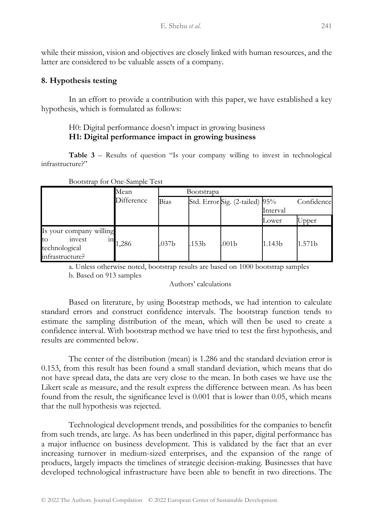while their mission, vision and objectives are closely linked with human resources, and the latter are considered to be valuable assets of a company.

# **8. Hypothesis testing**

In an effort to provide a contribution with this paper, we have established a key hypothesis, which is formulated as follows:

# H0: Digital performance doesn't impact in growing business **H1: Digital performance impact in growing business**

**Table 3** – Results of question "Is your company willing to invest in technological infrastructure?"

| Bootstrap for One-Sample Test                                               |                   |                   |                   |                                |          |            |  |  |
|-----------------------------------------------------------------------------|-------------------|-------------------|-------------------|--------------------------------|----------|------------|--|--|
|                                                                             | Mean              | Bootstrapa        |                   |                                |          |            |  |  |
|                                                                             | Difference        | Bias              |                   | Std. Error Sig. (2-tailed) 95% |          | Confidence |  |  |
|                                                                             |                   |                   |                   |                                | Interval |            |  |  |
|                                                                             |                   |                   |                   |                                | Lower    | Upper      |  |  |
| Is your company willing<br>to<br>invest<br>technological<br>infrastructure? | $\frac{1}{1,286}$ | .037 <sub>b</sub> | .153 <sub>b</sub> | .001 <sub>b</sub>              | 1.143b   | 1.571b     |  |  |

a. Unless otherwise noted, bootstrap results are based on 1000 bootstrap samples b. Based on 913 samples

Authors' calculations

Based on literature, by using Bootstrap methods, we had intention to calculate standard errors and construct confidence intervals. The bootstrap function tends to estimate the sampling distribution of the mean, which will then be used to create a confidence interval. With bootstrap method we have tried to test the first hypothesis, and results are commented below.

The center of the distribution (mean) is 1.286 and the standard deviation error is 0.153, from this result has been found a small standard deviation, which means that do not have spread data, the data are very close to the mean. In both cases we have use the Likert scale as measure, and the result express the difference between mean. As has been found from the result, the significance level is 0.001 that is lower than 0.05, which means that the null hypothesis was rejected.

Technological development trends, and possibilities for the companies to benefit from such trends, are large. As has been underlined in this paper, digital performance has a major influence on business development. This is validated by the fact that an ever increasing turnover in medium-sized enterprises, and the expansion of the range of products, largely impacts the timelines of strategic decision-making. Businesses that have developed technological infrastructure have been able to benefit in two directions. The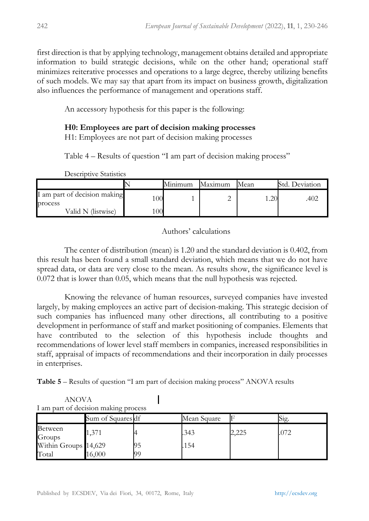first direction is that by applying technology, management obtains detailed and appropriate information to build strategic decisions, while on the other hand; operational staff minimizes reiterative processes and operations to a large degree, thereby utilizing benefits of such models. We may say that apart from its impact on business growth, digitalization also influences the performance of management and operations staff.

An accessory hypothesis for this paper is the following:

# **H0: Employees are part of decision making processes**

H1: Employees are not part of decision making processes

Table 4 – Results of question "I am part of decision making process"

|                                         |    | Minimum | Maximum | Mean | Std. Deviation |
|-----------------------------------------|----|---------|---------|------|----------------|
| I am part of decision making<br>process | 00 |         |         |      | .402           |
| Valid N (listwise)                      | 00 |         |         |      |                |

Descriptive Statistics

# Authors' calculations

The center of distribution (mean) is 1.20 and the standard deviation is 0.402, from this result has been found a small standard deviation, which means that we do not have spread data, or data are very close to the mean. As results show, the significance level is 0.072 that is lower than 0.05, which means that the null hypothesis was rejected.

Knowing the relevance of human resources, surveyed companies have invested largely, by making employees an active part of decision-making. This strategic decision of such companies has influenced many other directions, all contributing to a positive development in performance of staff and market positioning of companies. Elements that have contributed to the selection of this hypothesis include thoughts and recommendations of lower level staff members in companies, increased responsibilities in staff, appraisal of impacts of recommendations and their incorporation in daily processes in enterprises.

**Table 5** – Results of question "I am part of decision making process" ANOVA results

|                      | I am part of decision making process |    |             |                |      |
|----------------------|--------------------------------------|----|-------------|----------------|------|
|                      | Sum of Squares df                    |    | Mean Square |                | S12. |
| Between<br>Groups    | .371                                 |    | .343        | $^{\circ}$ 225 | .072 |
| Within Groups 14,629 |                                      | כע | 154         |                |      |
| Total                | 16.000                               | 99 |             |                |      |

ANOVA I am part of decision making process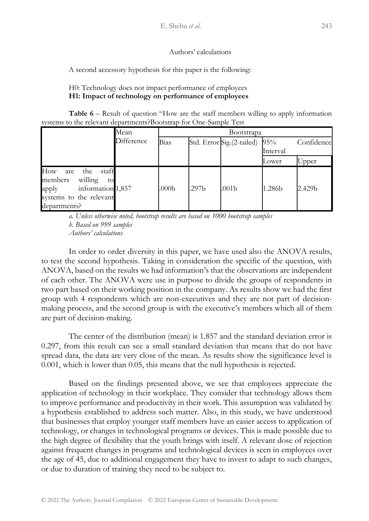#### Authors' calculations

A second accessory hypothesis for this paper is the following:

#### H0: Technology does not impact performance of employees **H1: Impact of technology on performance of employees**

**Table 6** – Result of question "How are the staff members willing to apply information systems to the relevant departments?Bootstrap for One-Sample Test

|                                                                                                                                 | Mean       | <b>Bootstrapa</b> |       |                                |          |            |  |
|---------------------------------------------------------------------------------------------------------------------------------|------------|-------------------|-------|--------------------------------|----------|------------|--|
|                                                                                                                                 | Difference | Bias              |       | Std. Error Sig. (2-tailed) 95% |          | Confidence |  |
|                                                                                                                                 |            |                   |       |                                | Interval |            |  |
|                                                                                                                                 |            |                   |       |                                | Lower    | Upper      |  |
| How<br>staff<br>the<br>are<br>willing<br>members<br>to<br>information 1,857<br>apply<br>systems to the relevant<br>departments? |            | .000 <sub>b</sub> | .297b | .001b                          | 1.286b   | 2.429b     |  |

*a. Unless otherwise noted, bootstrap results are based on 1000 bootstrap samples b. Based on 999 samples Authors' calculations*

In order to order diversity in this paper, we have used also the ANOVA results, to test the second hypothesis. Taking in consideration the specific of the question, with ANOVA, based on the results we had information's that the observations are independent of each other. The ANOVA were use in purpose to divide the groups of respondents in two part based on their working position in the company. As results show we had the first group with 4 respondents which are non-executives and they are not part of decisionmaking process, and the second group is with the executive's members which all of them are part of decision-making.

The center of the distribution (mean) is 1.857 and the standard deviation error is 0.297, from this result can see a small standard deviation that means that do not have spread data, the data are very close of the mean. As results show the significance level is 0.001, which is lower than 0.05, this means that the null hypothesis is rejected.

Based on the findings presented above, we see that employees appreciate the application of technology in their workplace. They consider that technology allows them to improve performance and productivity in their work. This assumption was validated by a hypothesis established to address such matter. Also, in this study, we have understood that businesses that employ younger staff members have an easier access to application of technology, or changes in technological programs or devices. This is made possible due to the high degree of flexibility that the youth brings with itself. A relevant dose of rejection against frequent changes in programs and technological devices is seen in employees over the age of 45, due to additional engagement they have to invest to adapt to such changes, or due to duration of training they need to be subject to.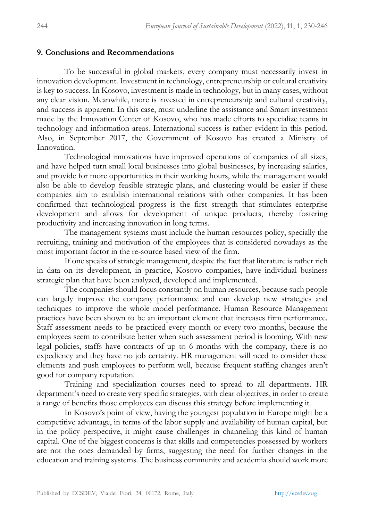#### **9. Conclusions and Recommendations**

To be successful in global markets, every company must necessarily invest in innovation development. Investment in technology, entrepreneurship or cultural creativity is key to success. In Kosovo, investment is made in technology, but in many cases, without any clear vision. Meanwhile, more is invested in entrepreneurship and cultural creativity, and success is apparent. In this case, must underline the assistance and Smart investment made by the Innovation Center of Kosovo, who has made efforts to specialize teams in technology and information areas. International success is rather evident in this period. Also, in September 2017, the Government of Kosovo has created a Ministry of Innovation.

Technological innovations have improved operations of companies of all sizes, and have helped turn small local businesses into global businesses, by increasing salaries, and provide for more opportunities in their working hours, while the management would also be able to develop feasible strategic plans, and clustering would be easier if these companies aim to establish international relations with other companies. It has been confirmed that technological progress is the first strength that stimulates enterprise development and allows for development of unique products, thereby fostering productivity and increasing innovation in long terms.

The management systems must include the human resources policy, specially the recruiting, training and motivation of the employees that is considered nowadays as the most important factor in the re-source based view of the firm.

If one speaks of strategic management, despite the fact that literature is rather rich in data on its development, in practice, Kosovo companies, have individual business strategic plan that have been analyzed, developed and implemented.

The companies should focus constantly on human resources, because such people can largely improve the company performance and can develop new strategies and techniques to improve the whole model performance. Human Resource Management practices have been shown to be an important element that increases firm performance. Staff assessment needs to be practiced every month or every two months, because the employees seem to contribute better when such assessment period is looming. With new legal policies, staffs have contracts of up to 6 months with the company, there is no expediency and they have no job certainty. HR management will need to consider these elements and push employees to perform well, because frequent staffing changes aren't good for company reputation.

Training and specialization courses need to spread to all departments. HR department's need to create very specific strategies, with clear objectives, in order to create a range of benefits those employees can discuss this strategy before implementing it.

In Kosovo's point of view, having the youngest population in Europe might be a competitive advantage, in terms of the labor supply and availability of human capital, but in the policy perspective, it might cause challenges in channeling this kind of human capital. One of the biggest concerns is that skills and competencies possessed by workers are not the ones demanded by firms, suggesting the need for further changes in the education and training systems. The business community and academia should work more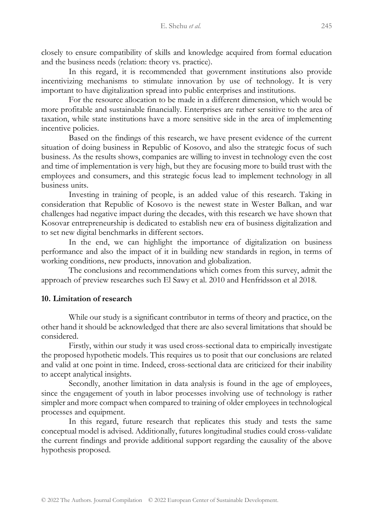closely to ensure compatibility of skills and knowledge acquired from formal education and the business needs (relation: theory vs. practice).

In this regard, it is recommended that government institutions also provide incentivizing mechanisms to stimulate innovation by use of technology. It is very important to have digitalization spread into public enterprises and institutions.

For the resource allocation to be made in a different dimension, which would be more profitable and sustainable financially. Enterprises are rather sensitive to the area of taxation, while state institutions have a more sensitive side in the area of implementing incentive policies.

Based on the findings of this research, we have present evidence of the current situation of doing business in Republic of Kosovo, and also the strategic focus of such business. As the results shows, companies are willing to invest in technology even the cost and time of implementation is very high, but they are focusing more to build trust with the employees and consumers, and this strategic focus lead to implement technology in all business units.

Investing in training of people, is an added value of this research. Taking in consideration that Republic of Kosovo is the newest state in Wester Balkan, and war challenges had negative impact during the decades, with this research we have shown that Kosovar entrepreneurship is dedicated to establish new era of business digitalization and to set new digital benchmarks in different sectors.

In the end, we can highlight the importance of digitalization on business performance and also the impact of it in building new standards in region, in terms of working conditions, new products, innovation and globalization.

The conclusions and recommendations which comes from this survey, admit the approach of preview researches such El Sawy et al. 2010 and Henfridsson et al 2018.

# **10. Limitation of research**

While our study is a significant contributor in terms of theory and practice, on the other hand it should be acknowledged that there are also several limitations that should be considered.

Firstly, within our study it was used cross-sectional data to empirically investigate the proposed hypothetic models. This requires us to posit that our conclusions are related and valid at one point in time. Indeed, cross-sectional data are criticized for their inability to accept analytical insights.

Secondly, another limitation in data analysis is found in the age of employees, since the engagement of youth in labor processes involving use of technology is rather simpler and more compact when compared to training of older employees in technological processes and equipment.

In this regard, future research that replicates this study and tests the same conceptual model is advised. Additionally, futures longitudinal studies could cross-validate the current findings and provide additional support regarding the causality of the above hypothesis proposed.